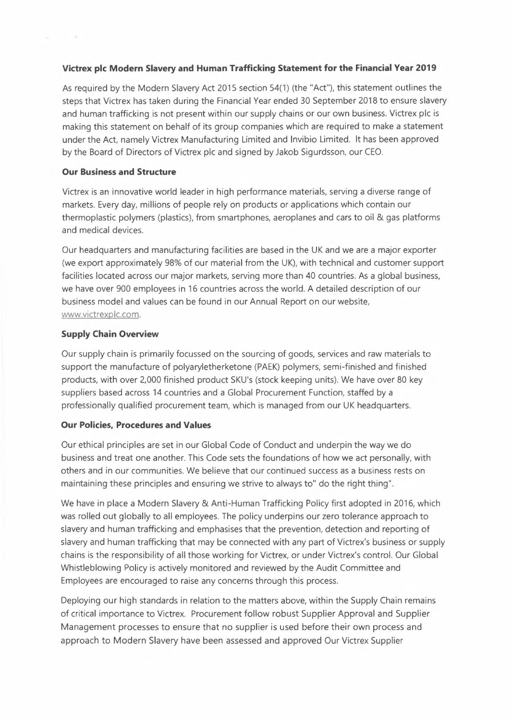## **Victrex pic Modern Slavery and Human Trafficking Statement for the Financial Year 2019**

As required by the Modern Slavery Act 2015 section 54(1) (the "Act"), this statement outlines the steps that Victrex has taken during the Financial Year ended 30 September 2018 to ensure slavery and human trafficking is not present within our supply chains or our own business. Victrex pic is making this statement on behalf of its group companies which are required to make a statement under the Act, namely Victrex Manufacturing Limited and lnvibio Limited. lt has been approved by the Board of Directors of Victrex pic and signed by Jakob Sigurdsson, our CEO.

## **Our Business and Structure**

and the state of

Victrex is an innovative world leader in high performance materials, serving a diverse range of markets. Every day, millions of people rely on products or applications which contain our thermoplastic polymers (plastics), from smartphones, aeroplanes and cars to oil & gas platforms and medical devices.

Our headquarters and manufacturing facilities are based in the UK and we are a major exporter (we export approximately 98% of our material from the UK), with technical and customer support facilities located across our major markets, serving more than 40 countries. As a global business, we have over 900 employees in 16 countries across the world. A detailed description of our business model and values can be found in our Annual Report on our website, www.victrexplc.com.

# **Supply Chain Overview**

Our supply chain is primarily focussed on the sourcing of goods, services and raw materials to support the manufacture of polyaryletherketone (PAEK) polymers, semi-finished and finished products, with over 2,000 finished product SKU's (stock keeping units). We have over 80 key suppliers based across 14 countries and a Global Procurement Function, staffed by a professionally qualified procurement team, which is managed from our UK headquarters.

## **Our Policies, Procedures and Values**

Our ethical principles are set in our Global Code of Conduct and underpin the way we do business and treat one another. This Code sets the foundations of how we act personally, with others and in our communities. We believe that our continued success as a business rests on maintaining these principles and ensuring we strive to always to" do the right thing".

We have in place a Modern Slavery & Anti-Human Trafficking Policy first adopted in 2016, which was rolled out globally to all employees. The policy underpins our zero tolerance approach to slavery and human trafficking and emphasises that the prevention, detection and reporting of slavery and human trafficking that may be connected with any part of Victrex's business or supply chains is the responsibility of all those working for Victrex, or under Victrex's control. Our Global Whistleblowing Policy is actively monitored and reviewed by the Audit Committee and Employees are encouraged to raise any concerns through this process.

Deploying our high standards in relation to the matters above, within the Supply Chain remains of critical importance to Victrex. Procurement follow robust Supplier Approval and Supplier Management processes to ensure that no supplier is used before their own process and approach to Modern Slavery have been assessed and approved Our Victrex Supplier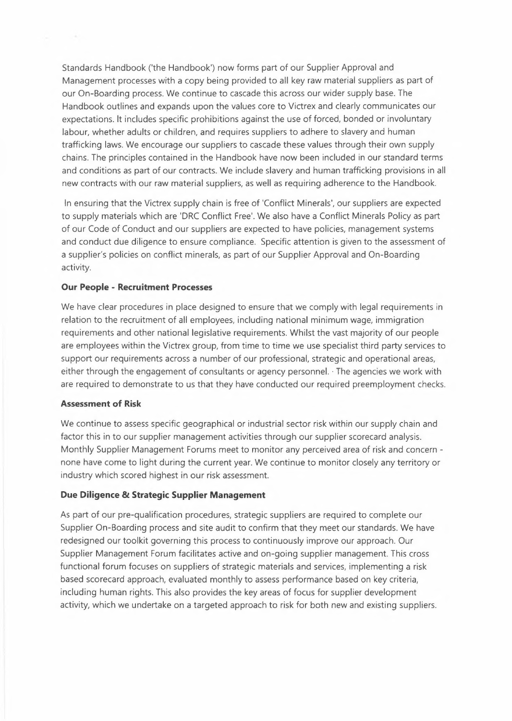Standards Handbook ('the Handbook') now forms part of our Supplier Approval and Management processes with a copy being provided to all key raw material suppliers as part of our On-Boarding process. We continue to cascade this across our wider supply base. The Handbook outlines and expands upon the values core to Victrex and clearly communicates our expectations. lt includes specific prohibitions against the use of forced, bonded or involuntary labour, whether adults or children, and requires suppliers to adhere to slavery and human trafficking laws. We encourage our suppliers to cascade these values through their own supply chains. The principles contained in the Handbook have now been included in our standard terms and conditions as part of our contracts. We include slavery and human trafficking provisions in all new contracts with our raw material suppliers, as well as requiring adherence to the Handbook.

ln ensuring that the Victrex supply chain is free of 'Conflict Minerals', our suppliers are expected to supply materials which are 'DRC Conflict Free'. We also have a Conflict Minerals Policy as part of our Code of Conduct and our suppliers are expected to have policies, management systems and conduct due diligence to ensure compliance. Specific attention is given to the assessment of a supplier's policies on conflict minerals, as part of our Supplier Approval and On-Boarding activity.

### **Our People - Recruitment Processes**

We have clear procedures in place designed to ensure that we comply with legal requirements in relation to the recruitment of all employees, including national minimum wage, immigration requirements and other national legislative requirements. Whilst the vast majority of our people are employees within the Victrex group, from time to time we use specialist third party services to support our requirements across a number of our professional, strategic and operational areas, either through the engagement of consultants or agency personnel. · The agencies we work with are required to demonstrate to us that they have conducted our required preemployment checks.

#### **Assessment of Risk**

We continue to assess specific geographical or industrial sector risk within our supply chain and factor this in to our supplier management activities through our supplier scorecard analysis. Monthly Supplier Management Forums meet to monitor any perceived area of risk and concern none have come to light during the current year. We continue to monitor closely any territory or industry which scored highest in our risk assessment.

## **Due Diligence & Strategic Supplier Management**

As part of our pre-qualification procedures, strategic suppliers are required to complete our Supplier On-Boarding process and site audit to confirm that they meet our standards. We have redesigned our toolkit governing this process to continuously improve our approach. Our Supplier Management Forum facilitates active and on-going supplier management. This cross functional forum focuses on suppliers of strategic materials and services, implementing a risk based scorecard approach, evaluated monthly to assess performance based on key criteria, including human rights. This also provides the key areas of focus for supplier development activity, which we undertake on a targeted approach to risk for both new and existing suppliers.